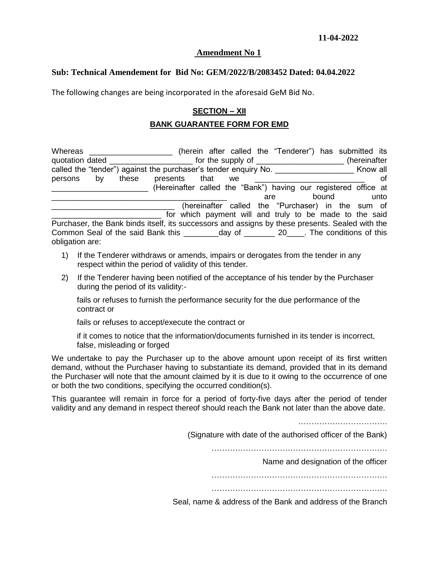## **Amendment No 1**

## **Sub: Technical Amendement for Bid No: GEM/2022/B/2083452 Dated: 04.04.2022**

The following changes are being incorporated in the aforesaid GeM Bid No.

## **SECTION – XII**

## **BANK GUARANTEE FORM FOR EMD**

Whereas \_\_\_\_\_\_\_\_\_\_\_\_\_\_\_\_\_\_\_\_\_\_\_ (herein after called the "Tenderer") has submitted its quotation dated examples the supply of the supply of the supply of the supply of the supply of the supply of the supply of the supply of the supply of the supply of the supply of the supply of the supply of the supply of t called the "tender") against the purchaser's tender enquiry No. \_\_\_\_\_\_\_\_\_\_\_\_\_\_\_\_\_\_\_\_\_\_\_\_ Know all persons by these presents that we \_\_\_\_\_\_\_\_\_\_\_\_\_\_\_\_\_\_\_\_\_\_\_\_\_\_\_\_ of \_\_\_\_\_\_\_\_\_\_\_\_\_\_\_\_\_\_\_\_\_\_ (Hereinafter called the "Bank") having our registered office at \_\_\_\_\_\_\_\_\_\_\_\_\_\_\_\_\_\_\_\_\_\_\_\_\_\_\_\_\_\_\_\_\_\_\_\_\_\_\_\_ are bound unto (hereinafter called the "Purchaser) in the sum of for which payment will and truly to be made to the said Purchaser, the Bank binds itself, its successors and assigns by these presents. Sealed with the Common Seal of the said Bank this \_\_\_\_\_\_\_\_day of \_\_\_\_\_\_\_ 20\_\_\_\_. The conditions of this obligation are:

- 1) If the Tenderer withdraws or amends, impairs or derogates from the tender in any respect within the period of validity of this tender.
- 2) If the Tenderer having been notified of the acceptance of his tender by the Purchaser during the period of its validity:-

fails or refuses to furnish the performance security for the due performance of the contract or

fails or refuses to accept/execute the contract or

if it comes to notice that the information/documents furnished in its tender is incorrect, false, misleading or forged

We undertake to pay the Purchaser up to the above amount upon receipt of its first written demand, without the Purchaser having to substantiate its demand, provided that in its demand the Purchaser will note that the amount claimed by it is due to it owing to the occurrence of one or both the two conditions, specifying the occurred condition(s).

This guarantee will remain in force for a period of forty-five days after the period of tender validity and any demand in respect thereof should reach the Bank not later than the above date.

…………………………….

(Signature with date of the authorised officer of the Bank)

………………………………………………………….

Name and designation of the officer

………………………………………………………….

………………………………………………………….

Seal, name & address of the Bank and address of the Branch